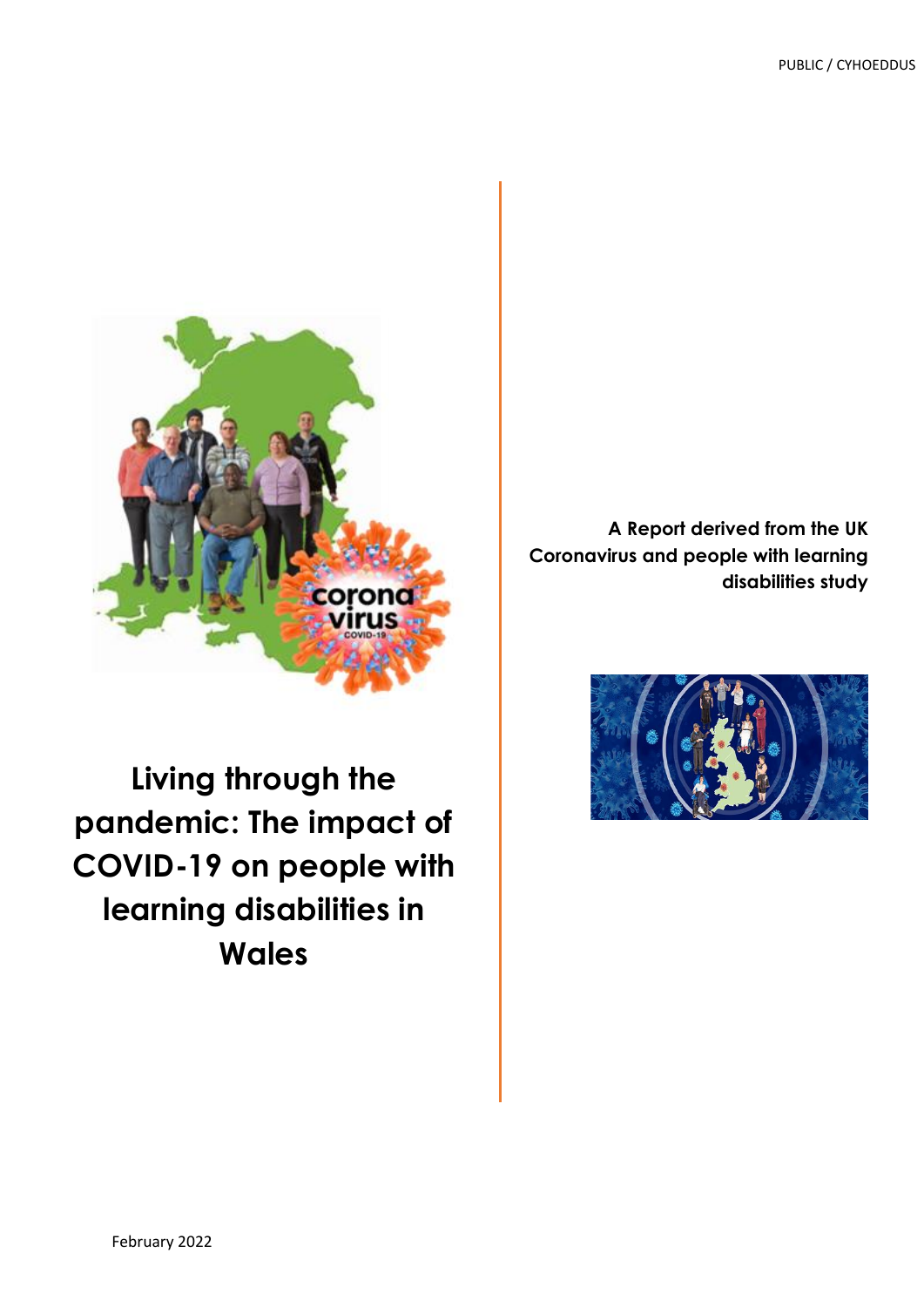

**Living through the pandemic: The impact of COVID-19 on people with learning disabilities in Wales**

**A Report derived from the UK Coronavirus and people with learning disabilities study**

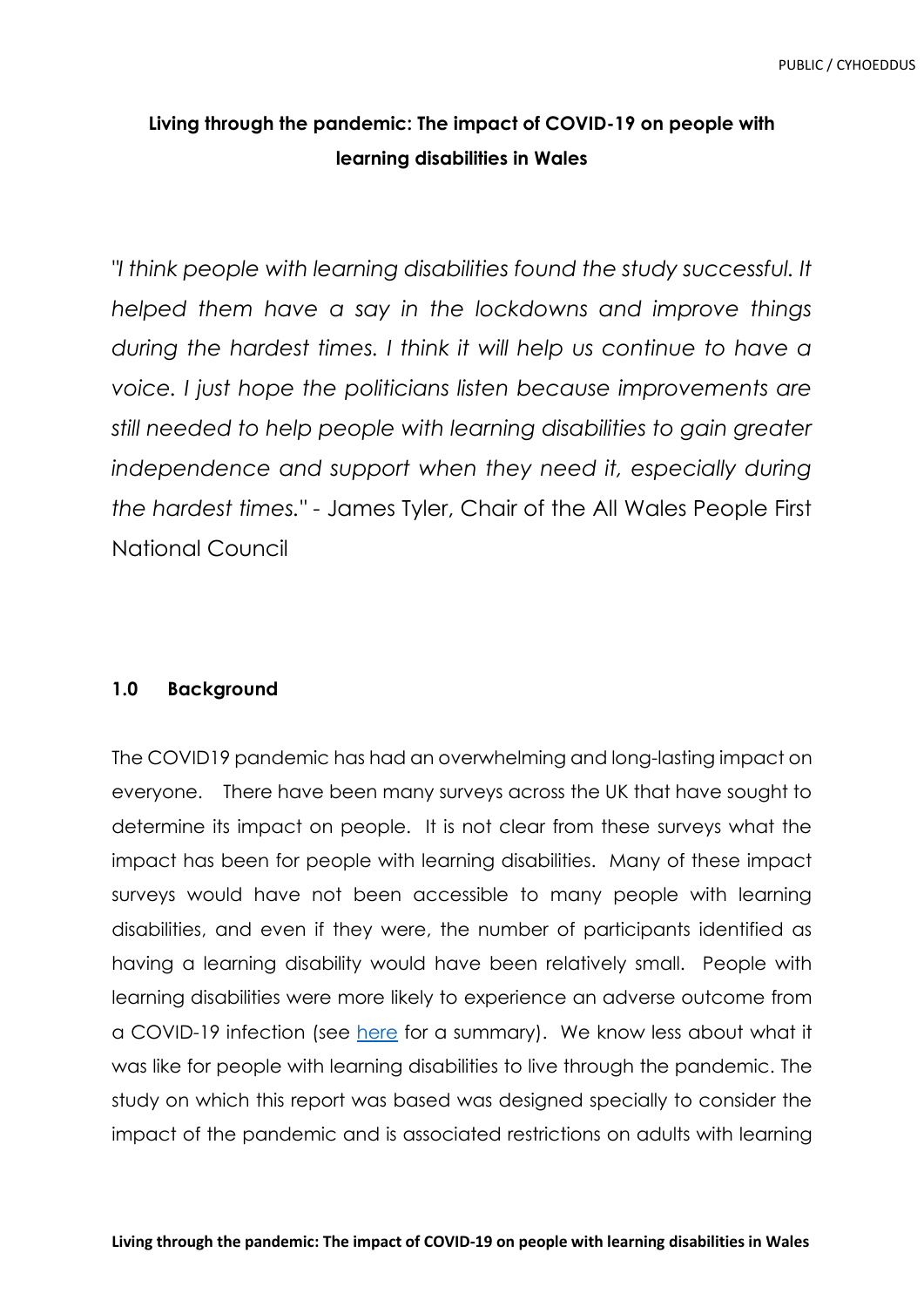## **Living through the pandemic: The impact of COVID-19 on people with learning disabilities in Wales**

*"I think people with learning disabilities found the study successful. It helped them have a say in the lockdowns and improve things during the hardest times. I think it will help us continue to have a voice. I just hope the politicians listen because improvements are still needed to help people with learning disabilities to gain greater*  independence and support when they need it, especially during *the hardest times."* - James Tyler, Chair of the All Wales People First National Council

### **1.0 Background**

The COVID19 pandemic has had an overwhelming and long-lasting impact on everyone. There have been many surveys across the UK that have sought to determine its impact on people. It is not clear from these surveys what the impact has been for people with learning disabilities. Many of these impact surveys would have not been accessible to many people with learning disabilities, and even if they were, the number of participants identified as having a learning disability would have been relatively small. People with learning disabilities were more likely to experience an adverse outcome from a COVID-19 infection (see [here](https://udidd.research.southwales.ac.uk/news/impact-coronavirus-deaths-people-learning-disabilities-what-we-know-what-we-dont-know-and-what-wed-find-out/) for a summary). We know less about what it was like for people with learning disabilities to live through the pandemic. The study on which this report was based was designed specially to consider the impact of the pandemic and is associated restrictions on adults with learning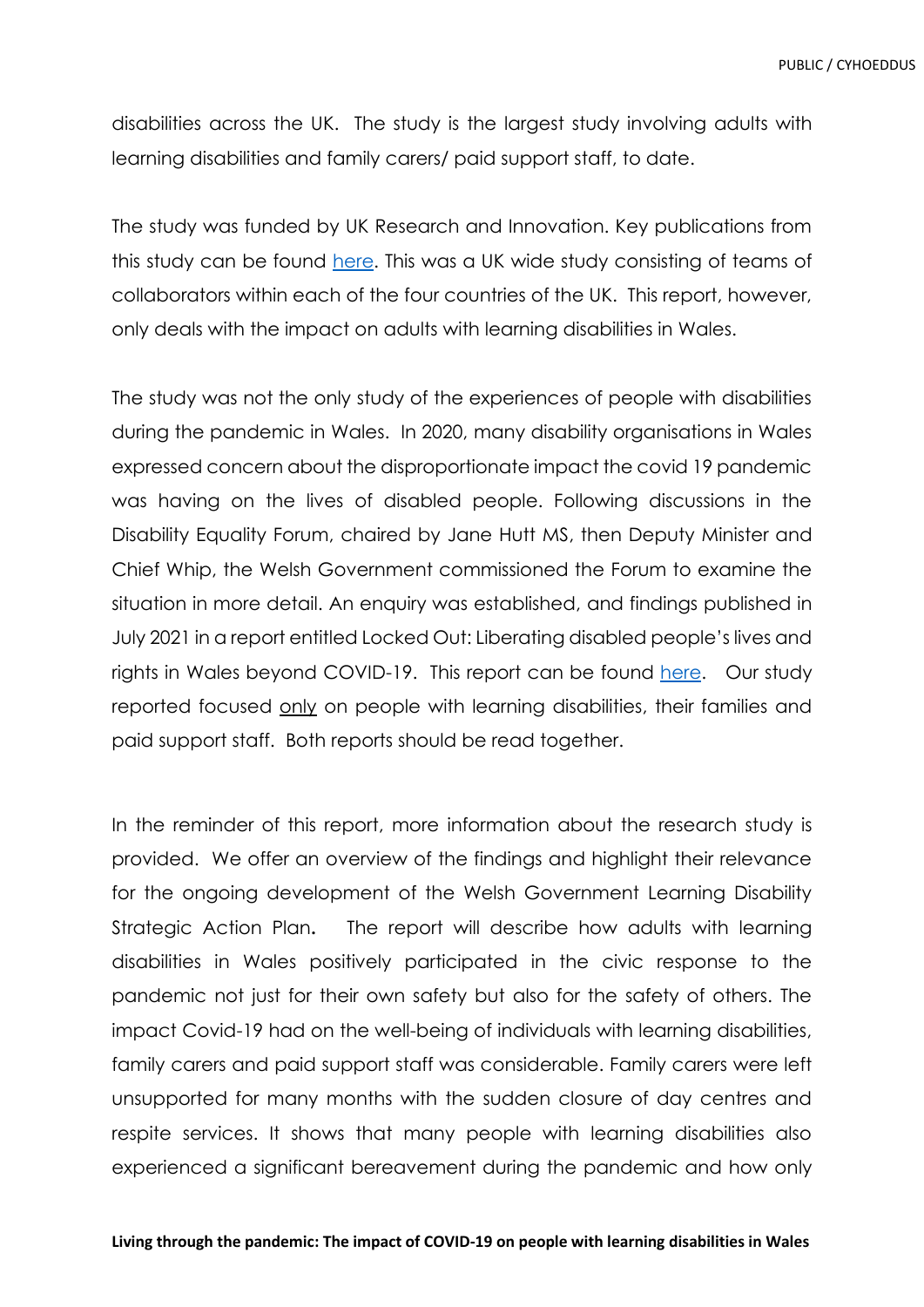disabilities across the UK. The study is the largest study involving adults with learning disabilities and family carers/ paid support staff, to date.

The study was funded by UK Research and Innovation. Key publications from this study can be found [here.](https://warwick.ac.uk/fac/soc/cedar/covid19-learningdisability/results/) This was a UK wide study consisting of teams of collaborators within each of the four countries of the UK. This report, however, only deals with the impact on adults with learning disabilities in Wales.

The study was not the only study of the experiences of people with disabilities during the pandemic in Wales. In 2020, many disability organisations in Wales expressed concern about the disproportionate impact the covid 19 pandemic was having on the lives of disabled people. Following discussions in the Disability Equality Forum, chaired by Jane Hutt MS, then Deputy Minister and Chief Whip, the Welsh Government commissioned the Forum to examine the situation in more detail. An enquiry was established, and findings published in July 2021 in a report entitled Locked Out: Liberating disabled people's lives and rights in Wales beyond COVID-19. This report can be found [here.](https://gov.wales/locked-out-liberating-disabled-peoples-lives-and-rights-wales-beyond-covid-19-html) Our study reported focused only on people with learning disabilities, their families and paid support staff. Both reports should be read together.

In the reminder of this report, more information about the research study is provided. We offer an overview of the findings and highlight their relevance for the ongoing development of the Welsh Government Learning Disability Strategic Action Plan**.** The report will describe how adults with learning disabilities in Wales positively participated in the civic response to the pandemic not just for their own safety but also for the safety of others. The impact Covid-19 had on the well-being of individuals with learning disabilities, family carers and paid support staff was considerable. Family carers were left unsupported for many months with the sudden closure of day centres and respite services. It shows that many people with learning disabilities also experienced a significant bereavement during the pandemic and how only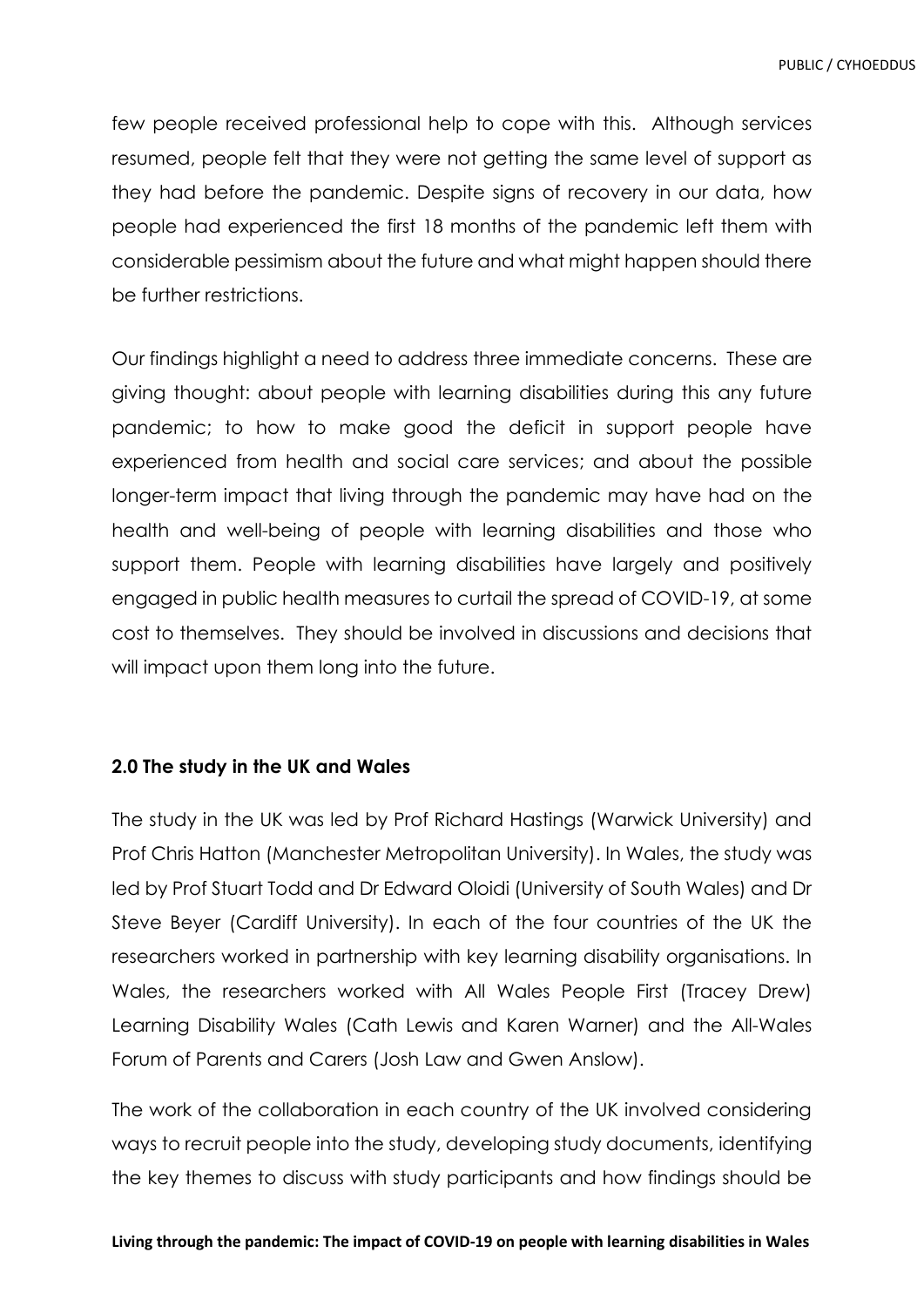few people received professional help to cope with this. Although services resumed, people felt that they were not getting the same level of support as they had before the pandemic. Despite signs of recovery in our data, how people had experienced the first 18 months of the pandemic left them with considerable pessimism about the future and what might happen should there be further restrictions.

Our findings highlight a need to address three immediate concerns. These are giving thought: about people with learning disabilities during this any future pandemic; to how to make good the deficit in support people have experienced from health and social care services; and about the possible longer-term impact that living through the pandemic may have had on the health and well-being of people with learning disabilities and those who support them. People with learning disabilities have largely and positively engaged in public health measures to curtail the spread of COVID-19, at some cost to themselves. They should be involved in discussions and decisions that will impact upon them long into the future.

### **2.0 The study in the UK and Wales**

The study in the UK was led by Prof Richard Hastings (Warwick University) and Prof Chris Hatton (Manchester Metropolitan University). In Wales, the study was led by Prof Stuart Todd and Dr Edward Oloidi (University of South Wales) and Dr Steve Beyer (Cardiff University). In each of the four countries of the UK the researchers worked in partnership with key learning disability organisations. In Wales, the researchers worked with All Wales People First (Tracey Drew) Learning Disability Wales (Cath Lewis and Karen Warner) and the All-Wales Forum of Parents and Carers (Josh Law and Gwen Anslow).

The work of the collaboration in each country of the UK involved considering ways to recruit people into the study, developing study documents, identifying the key themes to discuss with study participants and how findings should be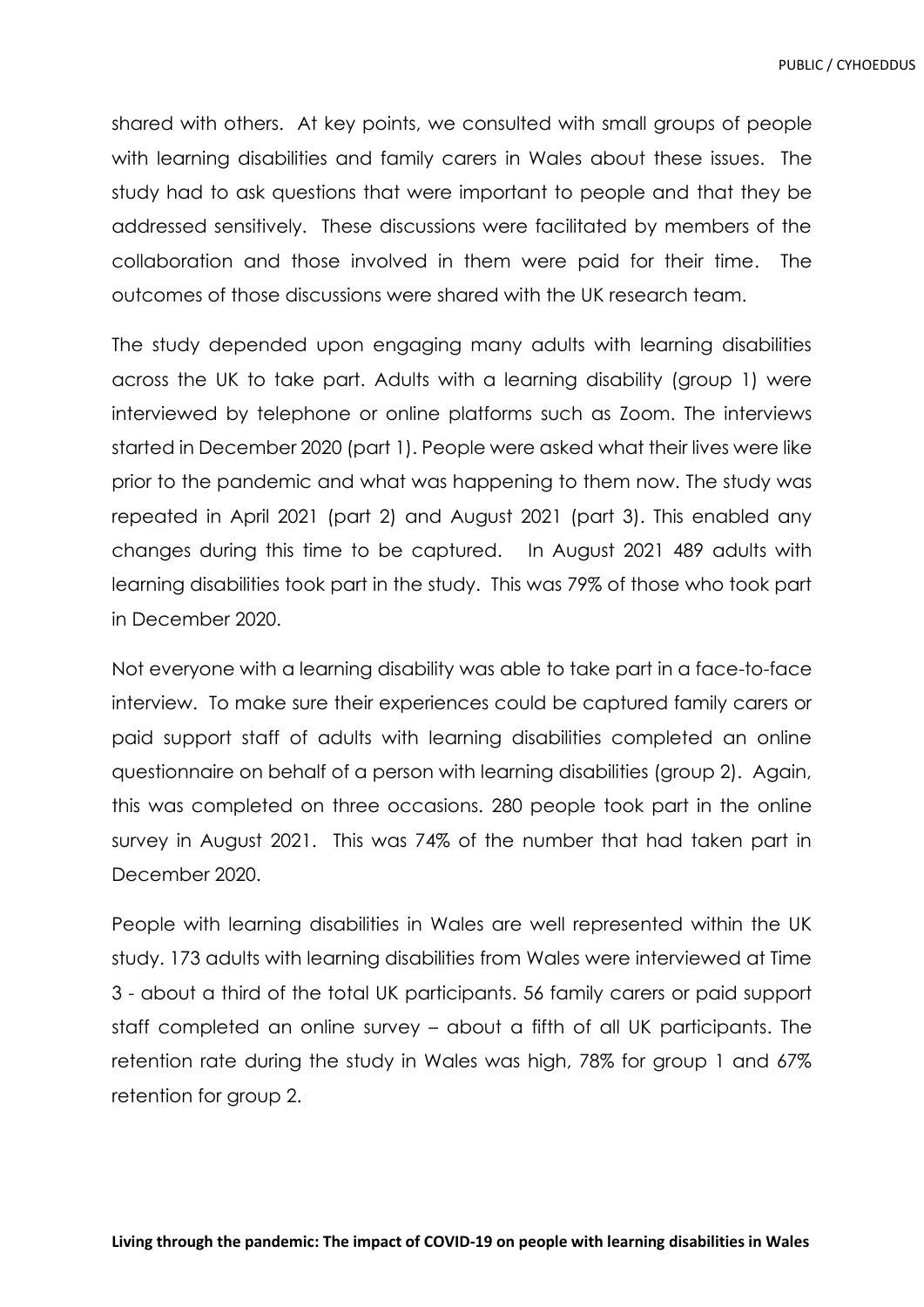shared with others. At key points, we consulted with small groups of people with learning disabilities and family carers in Wales about these issues. The study had to ask questions that were important to people and that they be addressed sensitively. These discussions were facilitated by members of the collaboration and those involved in them were paid for their time. The outcomes of those discussions were shared with the UK research team.

The study depended upon engaging many adults with learning disabilities across the UK to take part. Adults with a learning disability (group 1) were interviewed by telephone or online platforms such as Zoom. The interviews started in December 2020 (part 1). People were asked what their lives were like prior to the pandemic and what was happening to them now. The study was repeated in April 2021 (part 2) and August 2021 (part 3). This enabled any changes during this time to be captured. In August 2021 489 adults with learning disabilities took part in the study. This was 79% of those who took part in December 2020.

Not everyone with a learning disability was able to take part in a face-to-face interview. To make sure their experiences could be captured family carers or paid support staff of adults with learning disabilities completed an online questionnaire on behalf of a person with learning disabilities (group 2). Again, this was completed on three occasions. 280 people took part in the online survey in August 2021. This was 74% of the number that had taken part in December 2020.

People with learning disabilities in Wales are well represented within the UK study. 173 adults with learning disabilities from Wales were interviewed at Time 3 - about a third of the total UK participants. 56 family carers or paid support staff completed an online survey – about a fifth of all UK participants. The retention rate during the study in Wales was high, 78% for group 1 and 67% retention for group 2.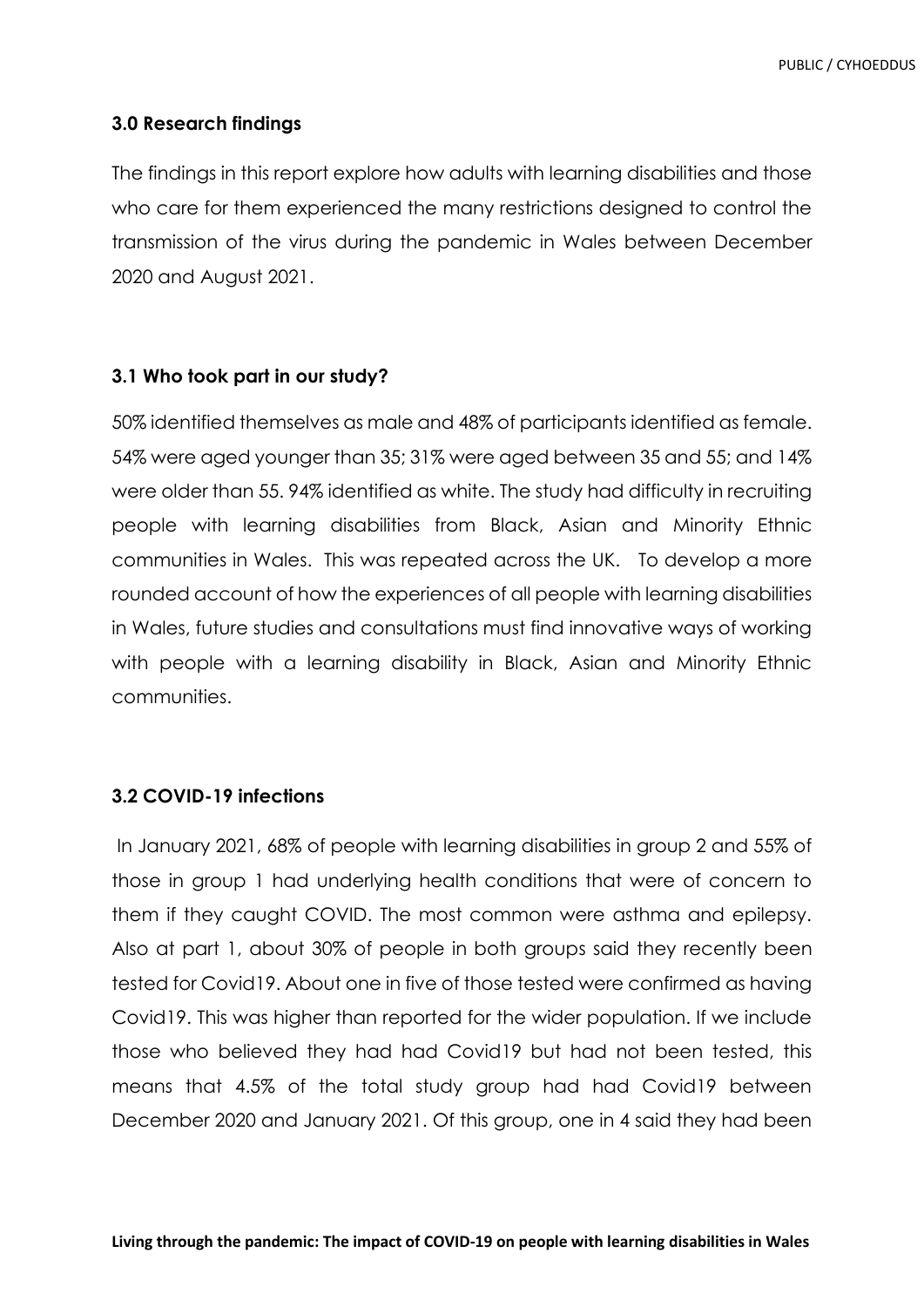### **3.0 Research findings**

The findings in this report explore how adults with learning disabilities and those who care for them experienced the many restrictions designed to control the transmission of the virus during the pandemic in Wales between December 2020 and August 2021.

### **3.1 Who took part in our study?**

50% identified themselves as male and 48% of participants identified as female. 54% were aged younger than 35; 31% were aged between 35 and 55; and 14% were older than 55. 94% identified as white. The study had difficulty in recruiting people with learning disabilities from Black, Asian and Minority Ethnic communities in Wales. This was repeated across the UK. To develop a more rounded account of how the experiences of all people with learning disabilities in Wales, future studies and consultations must find innovative ways of working with people with a learning disability in Black, Asian and Minority Ethnic communities.

### **3.2 COVID-19 infections**

In January 2021, 68% of people with learning disabilities in group 2 and 55% of those in group 1 had underlying health conditions that were of concern to them if they caught COVID. The most common were asthma and epilepsy. Also at part 1, about 30% of people in both groups said they recently been tested for Covid19. About one in five of those tested were confirmed as having Covid19. This was higher than reported for the wider population. If we include those who believed they had had Covid19 but had not been tested, this means that 4.5% of the total study group had had Covid19 between December 2020 and January 2021. Of this group, one in 4 said they had been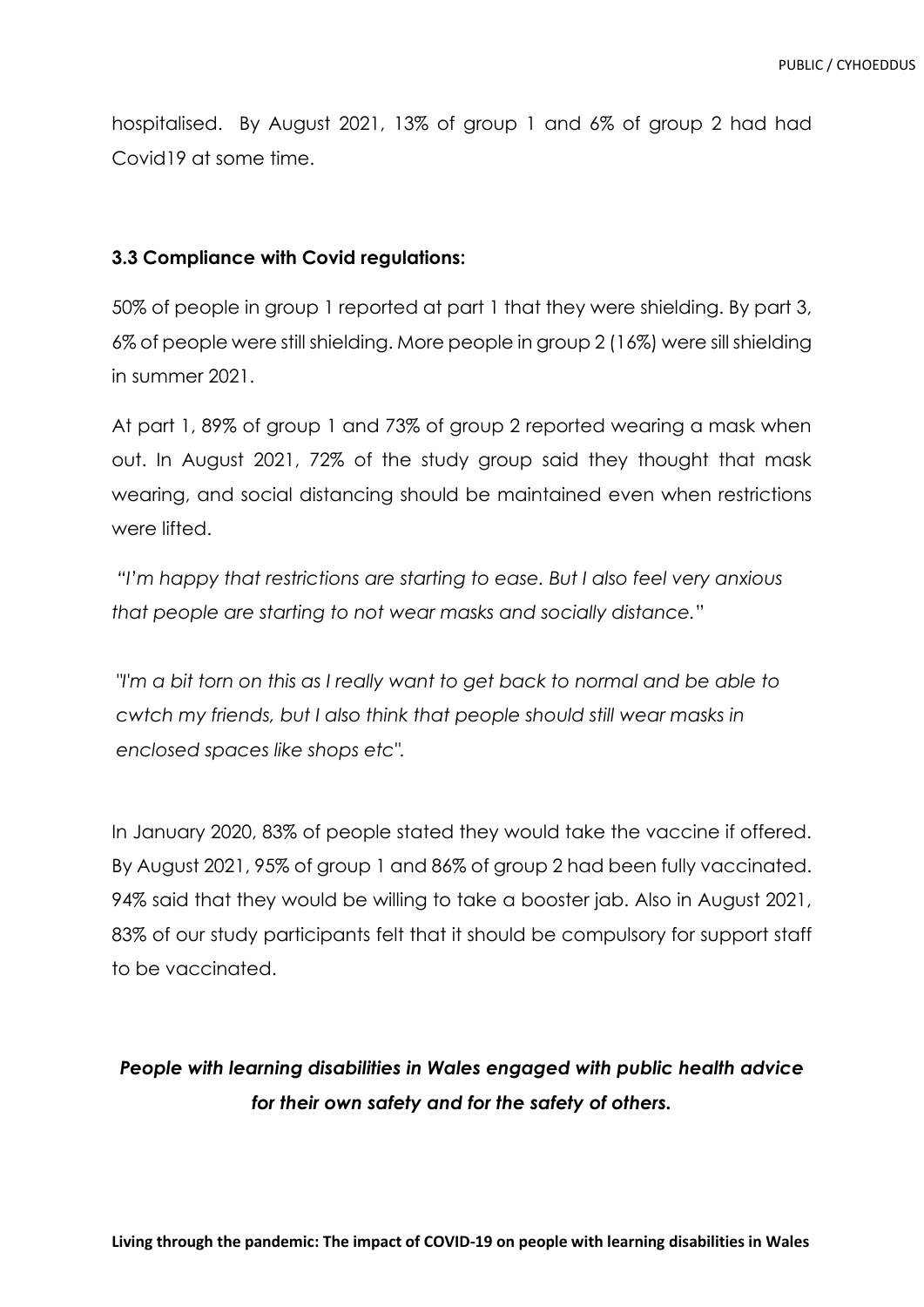hospitalised. By August 2021, 13% of group 1 and 6% of group 2 had had Covid19 at some time.

### **3.3 Compliance with Covid regulations:**

50% of people in group 1 reported at part 1 that they were shielding. By part 3, 6% of people were still shielding. More people in group 2 (16%) were sill shielding in summer 2021.

At part 1, 89% of group 1 and 73% of group 2 reported wearing a mask when out. In August 2021, 72% of the study group said they thought that mask wearing, and social distancing should be maintained even when restrictions were lifted.

*"I'm happy that restrictions are starting to ease. But I also feel very anxious that people are starting to not wear masks and socially distance.*"

*I'm a bit torn on this as I really want to get back to normal and be able to cwtch my friends, but I also think that people should still wear masks in enclosed spaces like shops etc".*

In January 2020, 83% of people stated they would take the vaccine if offered. By August 2021, 95% of group 1 and 86% of group 2 had been fully vaccinated. 94% said that they would be willing to take a booster jab. Also in August 2021, 83% of our study participants felt that it should be compulsory for support staff to be vaccinated.

### *People with learning disabilities in Wales engaged with public health advice for their own safety and for the safety of others.*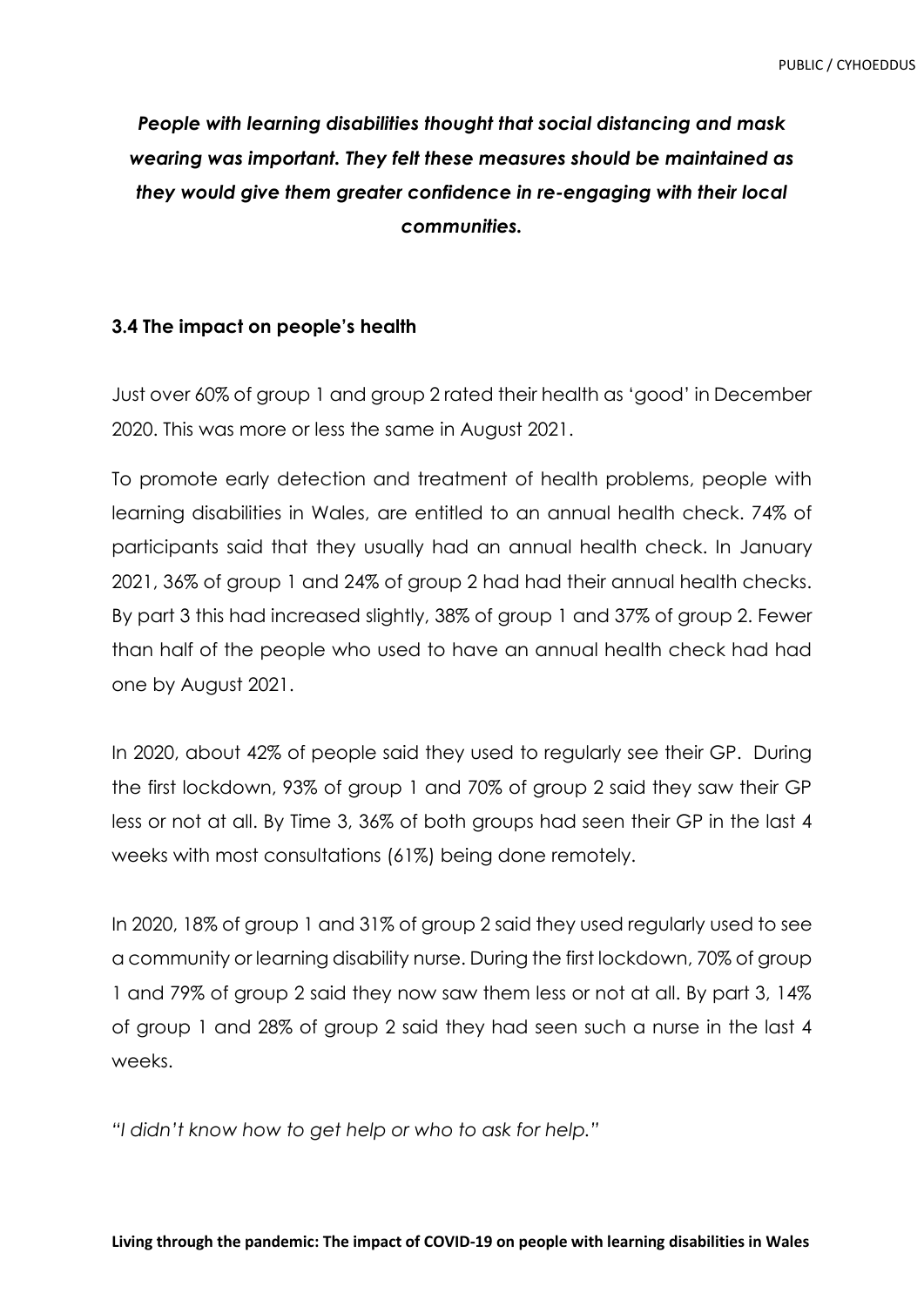*People with learning disabilities thought that social distancing and mask wearing was important. They felt these measures should be maintained as they would give them greater confidence in re-engaging with their local communities.*

### **3.4 The impact on people's health**

Just over 60% of group 1 and group 2 rated their health as 'good' in December 2020. This was more or less the same in August 2021.

To promote early detection and treatment of health problems, people with learning disabilities in Wales, are entitled to an annual health check. 74% of participants said that they usually had an annual health check. In January 2021, 36% of group 1 and 24% of group 2 had had their annual health checks. By part 3 this had increased slightly, 38% of group 1 and 37% of group 2. Fewer than half of the people who used to have an annual health check had had one by August 2021.

In 2020, about 42% of people said they used to regularly see their GP. During the first lockdown, 93% of group 1 and 70% of group 2 said they saw their GP less or not at all. By Time 3, 36% of both groups had seen their GP in the last 4 weeks with most consultations (61%) being done remotely.

In 2020, 18% of group 1 and 31% of group 2 said they used regularly used to see a community or learning disability nurse. During the first lockdown, 70% of group 1 and 79% of group 2 said they now saw them less or not at all. By part 3, 14% of group 1 and 28% of group 2 said they had seen such a nurse in the last 4 weeks.

*"I didn't know how to get help or who to ask for help."*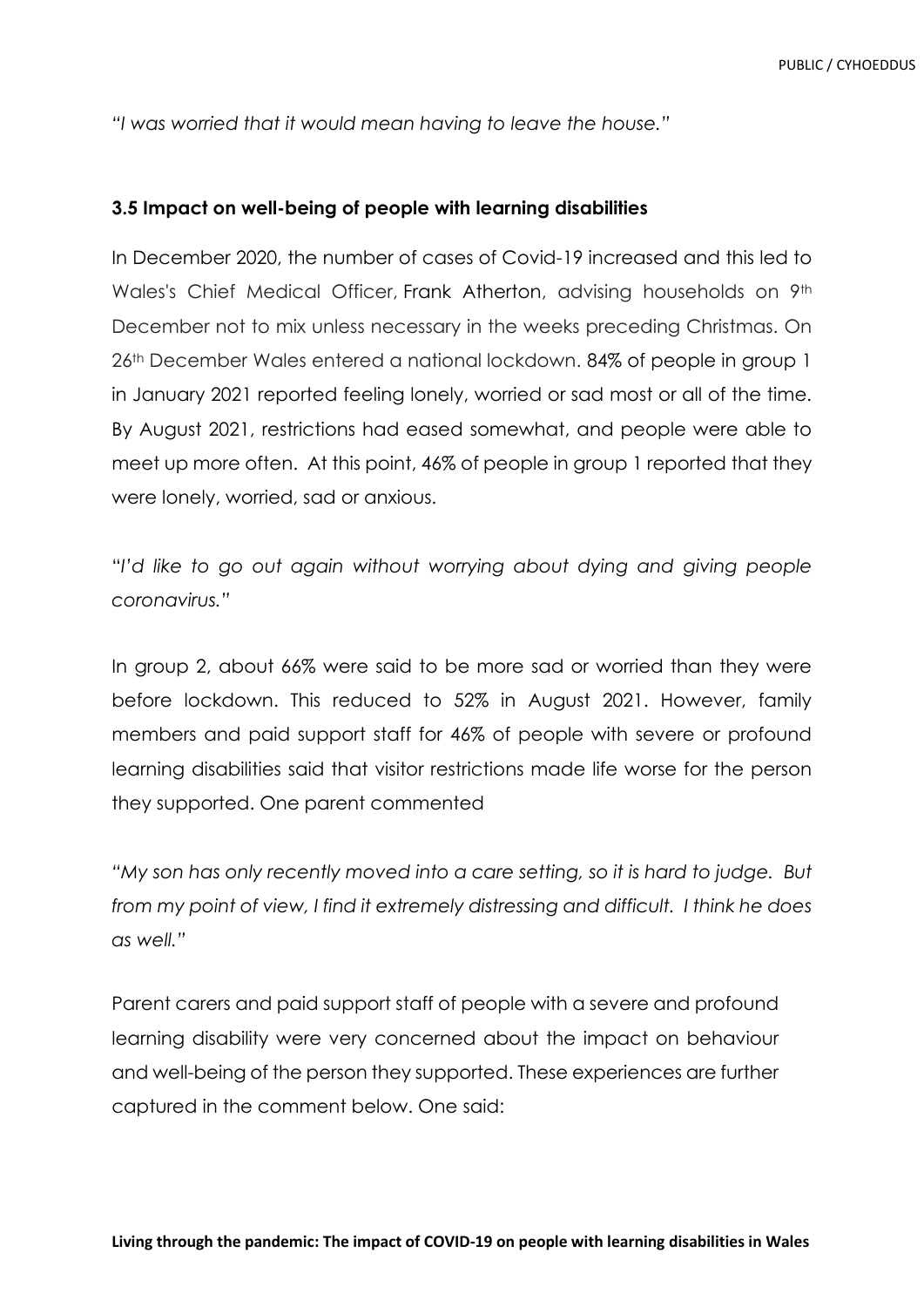*"I was worried that it would mean having to leave the house."*

#### **3.5 Impact on well-being of people with learning disabilities**

In December 2020, the number of cases of Covid-19 increased and this led to Wales's Chief Medical Officer, Frank Atherton, advising households on 9<sup>th</sup> December not to mix unless necessary in the weeks preceding Christmas. On 26th December Wales entered a national lockdown. 84% of people in group 1 in January 2021 reported feeling lonely, worried or sad most or all of the time. By August 2021, restrictions had eased somewhat, and people were able to meet up more often. At this point, 46% of people in group 1 reported that they were lonely, worried, sad or anxious.

"*I'd like to go out again without worrying about dying and giving people coronavirus."*

In group 2, about 66% were said to be more sad or worried than they were before lockdown. This reduced to 52% in August 2021. However, family members and paid support staff for 46% of people with severe or profound learning disabilities said that visitor restrictions made life worse for the person they supported. One parent commented

*"My son has only recently moved into a care setting, so it is hard to judge. But from my point of view, I find it extremely distressing and difficult. I think he does as well."*

Parent carers and paid support staff of people with a severe and profound learning disability were very concerned about the impact on behaviour and well-being of the person they supported. These experiences are further captured in the comment below. One said: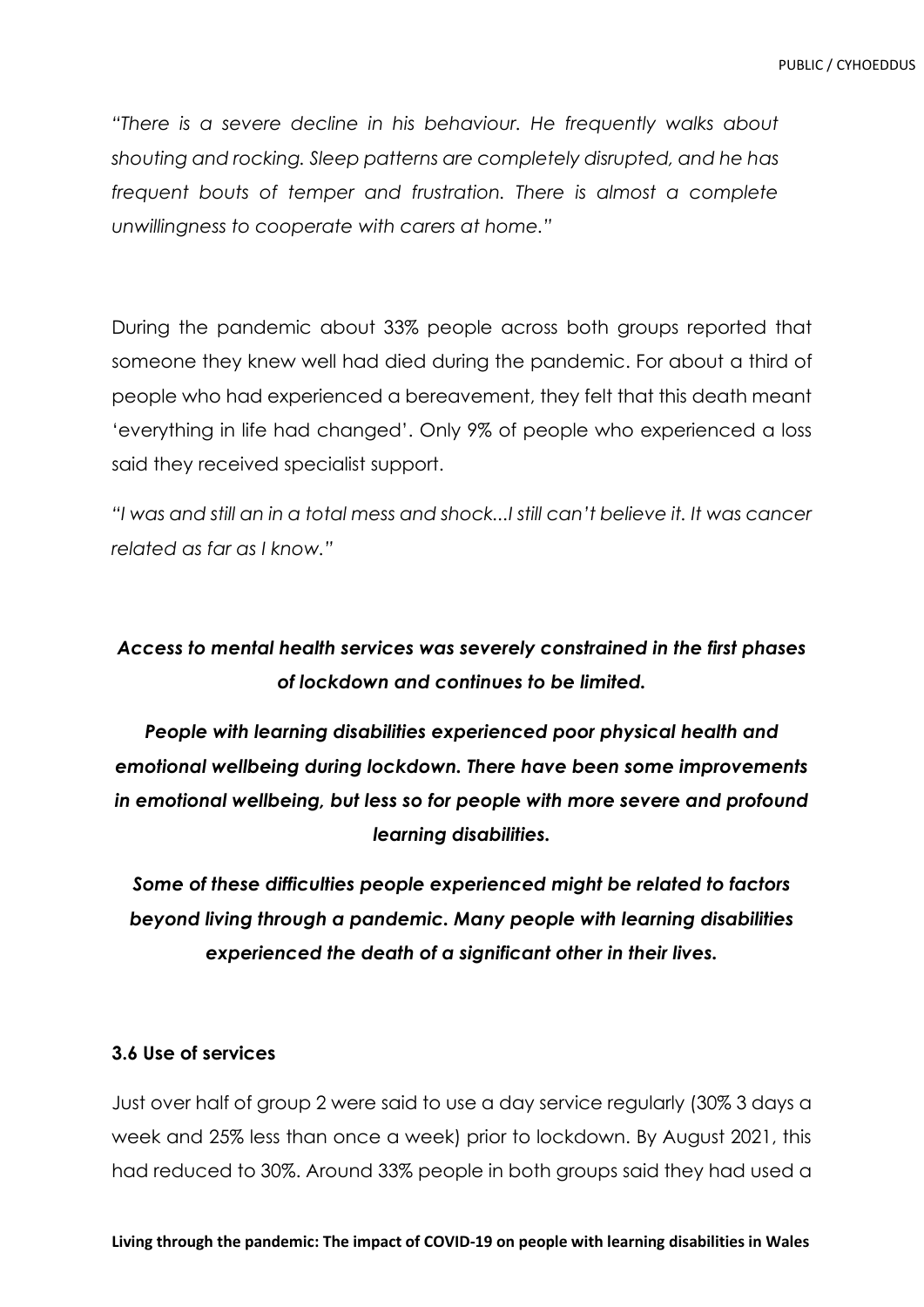*"There is a severe decline in his behaviour. He frequently walks about shouting and rocking. Sleep patterns are completely disrupted, and he has frequent bouts of temper and frustration. There is almost a complete unwillingness to cooperate with carers at home."* 

During the pandemic about 33% people across both groups reported that someone they knew well had died during the pandemic. For about a third of people who had experienced a bereavement, they felt that this death meant 'everything in life had changed'. Only 9% of people who experienced a loss said they received specialist support.

*"I was and still an in a total mess and shock...I still can't believe it. It was cancer related as far as I know."*

## *Access to mental health services was severely constrained in the first phases of lockdown and continues to be limited.*

*People with learning disabilities experienced poor physical health and emotional wellbeing during lockdown. There have been some improvements in emotional wellbeing, but less so for people with more severe and profound learning disabilities.*

*Some of these difficulties people experienced might be related to factors beyond living through a pandemic. Many people with learning disabilities experienced the death of a significant other in their lives.*

### **3.6 Use of services**

Just over half of group 2 were said to use a day service regularly (30% 3 days a week and 25% less than once a week) prior to lockdown. By August 2021, this had reduced to 30%. Around 33% people in both groups said they had used a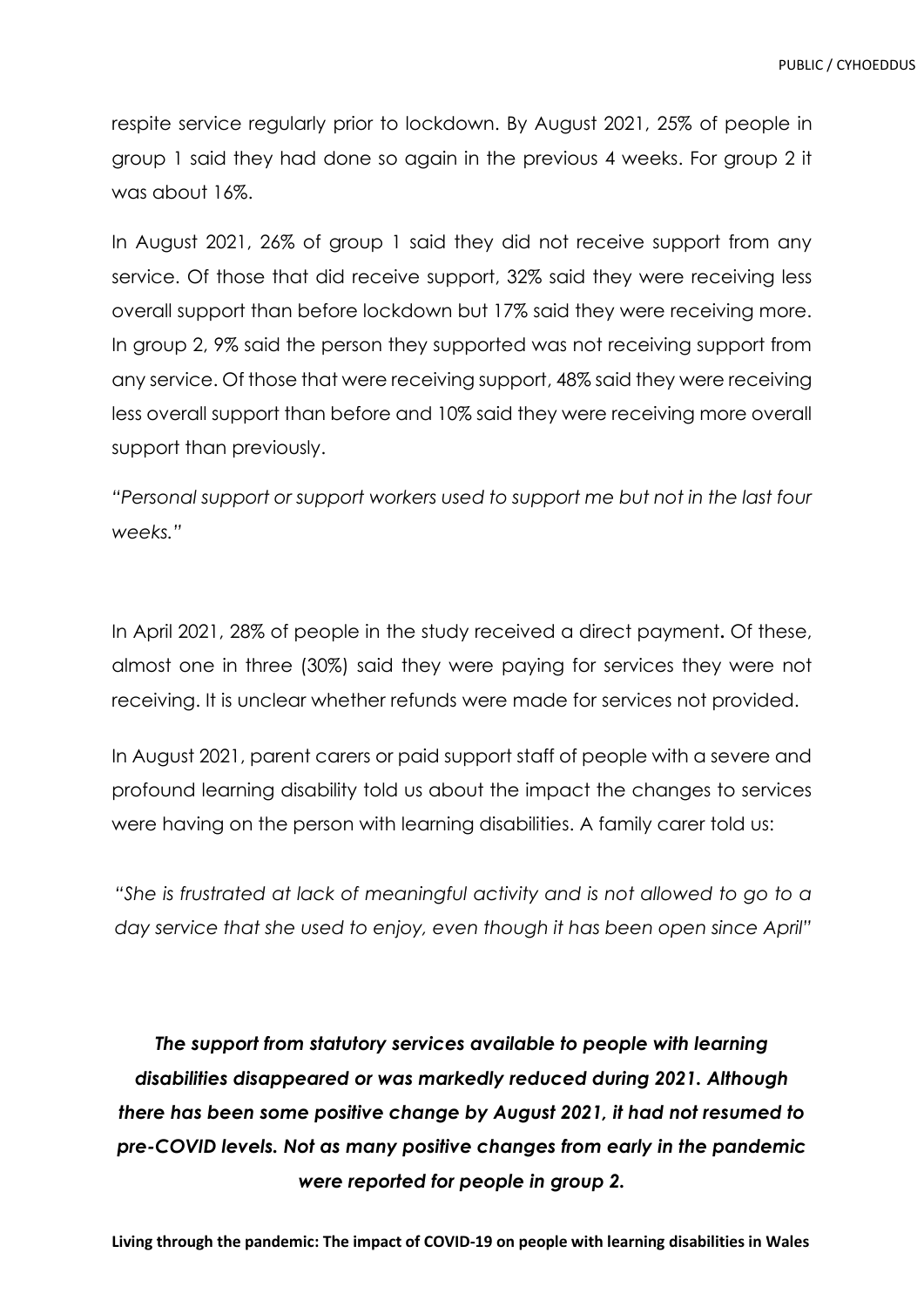respite service regularly prior to lockdown. By August 2021, 25% of people in group 1 said they had done so again in the previous 4 weeks. For group 2 it was about 16%.

In August 2021, 26% of group 1 said they did not receive support from any service. Of those that did receive support, 32% said they were receiving less overall support than before lockdown but 17% said they were receiving more. In group 2, 9% said the person they supported was not receiving support from any service. Of those that were receiving support, 48% said they were receiving less overall support than before and 10% said they were receiving more overall support than previously.

*"Personal support or support workers used to support me but not in the last four weeks."*

In April 2021, 28% of people in the study received a direct payment**.** Of these, almost one in three (30%) said they were paying for services they were not receiving. It is unclear whether refunds were made for services not provided.

In August 2021, parent carers or paid support staff of people with a severe and profound learning disability told us about the impact the changes to services were having on the person with learning disabilities. A family carer told us:

*"She is frustrated at lack of meaningful activity and is not allowed to go to a day service that she used to enjoy, even though it has been open since April"*

*The support from statutory services available to people with learning disabilities disappeared or was markedly reduced during 2021. Although there has been some positive change by August 2021, it had not resumed to pre-COVID levels. Not as many positive changes from early in the pandemic were reported for people in group 2.*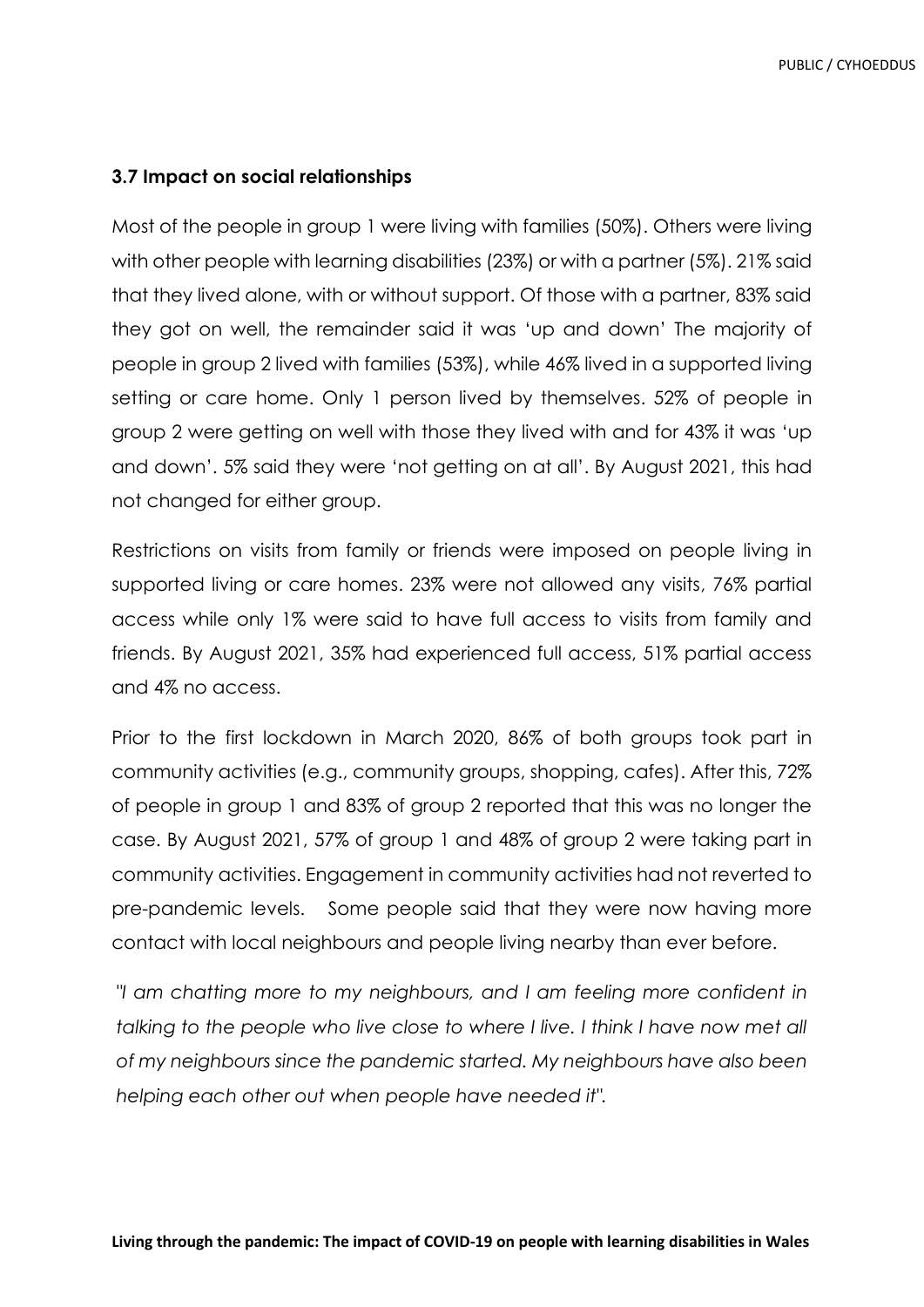### **3.7 Impact on social relationships**

Most of the people in group 1 were living with families (50%). Others were living with other people with learning disabilities (23%) or with a partner (5%). 21% said that they lived alone, with or without support. Of those with a partner, 83% said they got on well, the remainder said it was 'up and down' The majority of people in group 2 lived with families (53%), while 46% lived in a supported living setting or care home. Only 1 person lived by themselves. 52% of people in group 2 were getting on well with those they lived with and for 43% it was 'up and down'. 5% said they were 'not getting on at all'. By August 2021, this had not changed for either group.

Restrictions on visits from family or friends were imposed on people living in supported living or care homes. 23% were not allowed any visits, 76% partial access while only 1% were said to have full access to visits from family and friends. By August 2021, 35% had experienced full access, 51% partial access and 4% no access.

Prior to the first lockdown in March 2020, 86% of both groups took part in community activities (e.g., community groups, shopping, cafes). After this, 72% of people in group 1 and 83% of group 2 reported that this was no longer the case. By August 2021, 57% of group 1 and 48% of group 2 were taking part in community activities. Engagement in community activities had not reverted to pre-pandemic levels. Some people said that they were now having more contact with local neighbours and people living nearby than ever before.

*"I am chatting more to my neighbours, and I am feeling more confident in talking to the people who live close to where I live. I think I have now met all of my neighbours since the pandemic started. My neighbours have also been helping each other out when people have needed it".*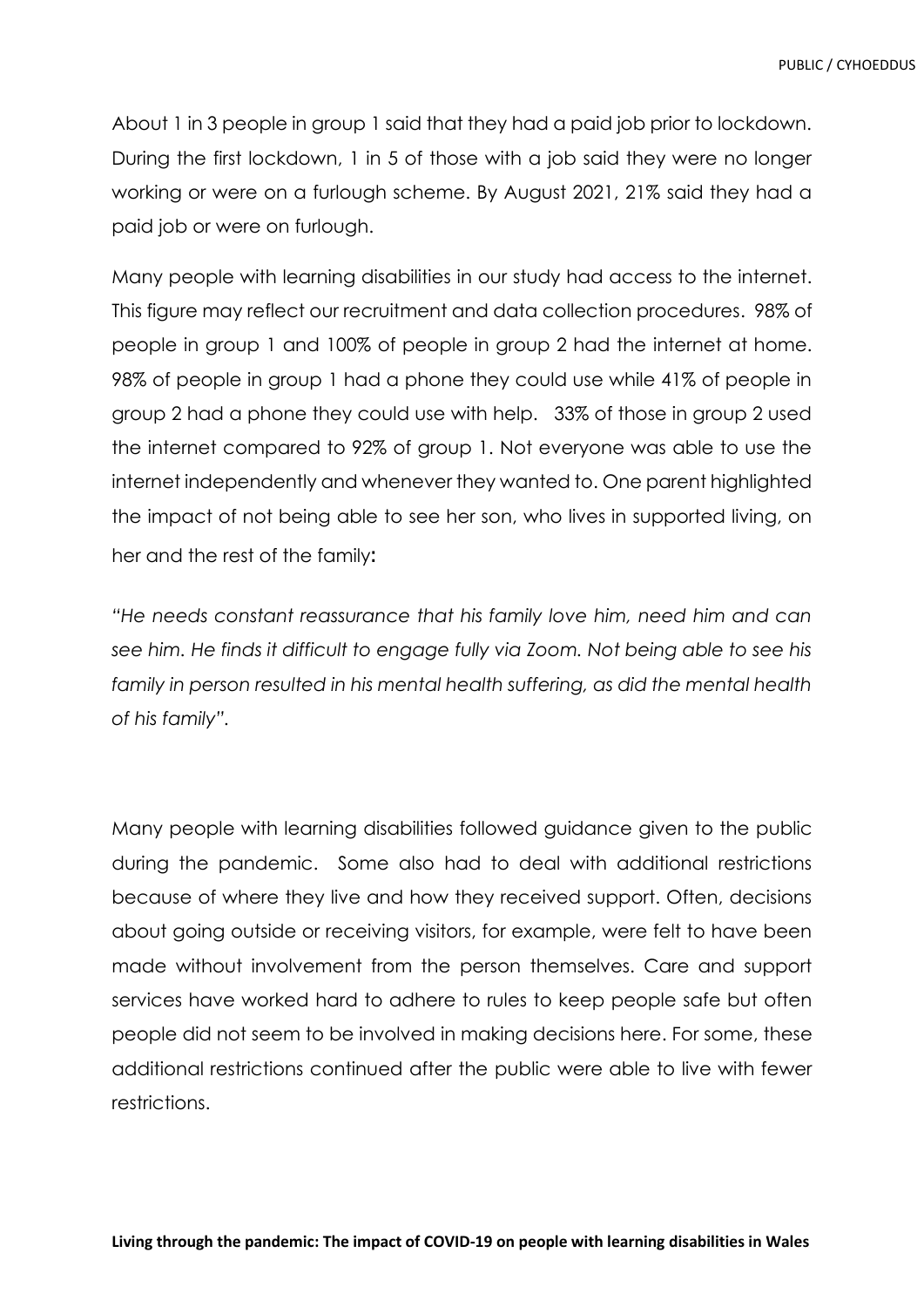About 1 in 3 people in group 1 said that they had a paid job prior to lockdown. During the first lockdown, 1 in 5 of those with a job said they were no longer working or were on a furlough scheme. By August 2021, 21% said they had a paid job or were on furlough.

Many people with learning disabilities in our study had access to the internet. This figure may reflect our recruitment and data collection procedures. 98% of people in group 1 and 100% of people in group 2 had the internet at home. 98% of people in group 1 had a phone they could use while 41% of people in group 2 had a phone they could use with help. 33% of those in group 2 used the internet compared to 92% of group 1. Not everyone was able to use the internet independently and whenever they wanted to. One parent highlighted the impact of not being able to see her son, who lives in supported living, on her and the rest of the family:

*"He needs constant reassurance that his family love him, need him and can see him. He finds it difficult to engage fully via Zoom. Not being able to see his family in person resulted in his mental health suffering, as did the mental health of his family".*

Many people with learning disabilities followed guidance given to the public during the pandemic. Some also had to deal with additional restrictions because of where they live and how they received support. Often, decisions about going outside or receiving visitors, for example, were felt to have been made without involvement from the person themselves. Care and support services have worked hard to adhere to rules to keep people safe but often people did not seem to be involved in making decisions here. For some, these additional restrictions continued after the public were able to live with fewer restrictions.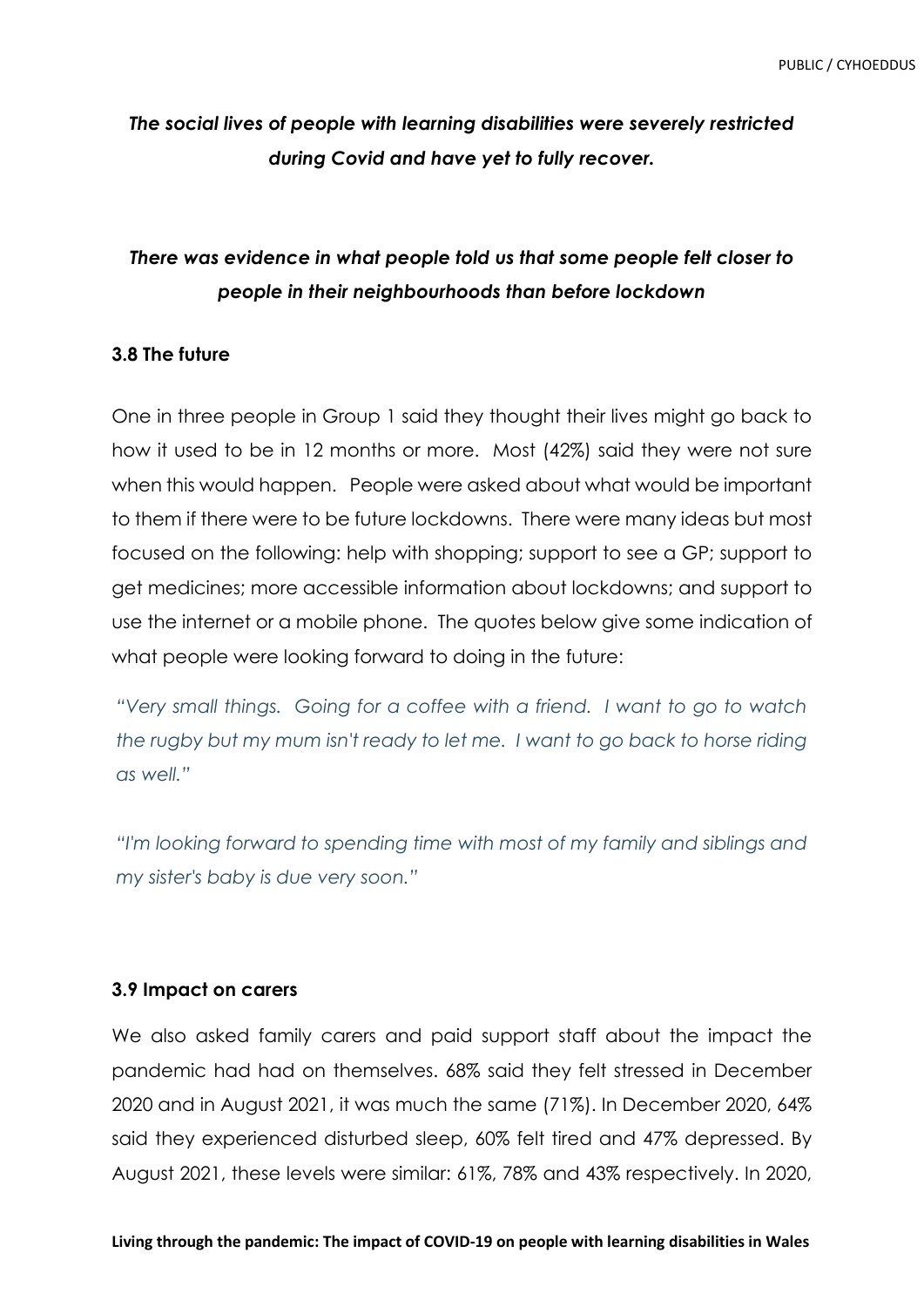## *The social lives of people with learning disabilities were severely restricted during Covid and have yet to fully recover.*

## *There was evidence in what people told us that some people felt closer to people in their neighbourhoods than before lockdown*

### **3.8 The future**

One in three people in Group 1 said they thought their lives might go back to how it used to be in 12 months or more. Most (42%) said they were not sure when this would happen. People were asked about what would be important to them if there were to be future lockdowns. There were many ideas but most focused on the following: help with shopping; support to see a GP; support to get medicines; more accessible information about lockdowns; and support to use the internet or a mobile phone. The quotes below give some indication of what people were looking forward to doing in the future:

*"Very small things. Going for a coffee with a friend. I want to go to watch the rugby but my mum isn't ready to let me. I want to go back to horse riding as well."*

*"I'm looking forward to spending time with most of my family and siblings and my sister's baby is due very soon."*

#### **3.9 Impact on carers**

We also asked family carers and paid support staff about the impact the pandemic had had on themselves. 68% said they felt stressed in December 2020 and in August 2021, it was much the same (71%). In December 2020, 64% said they experienced disturbed sleep, 60% felt tired and 47% depressed. By August 2021, these levels were similar: 61%, 78% and 43% respectively. In 2020,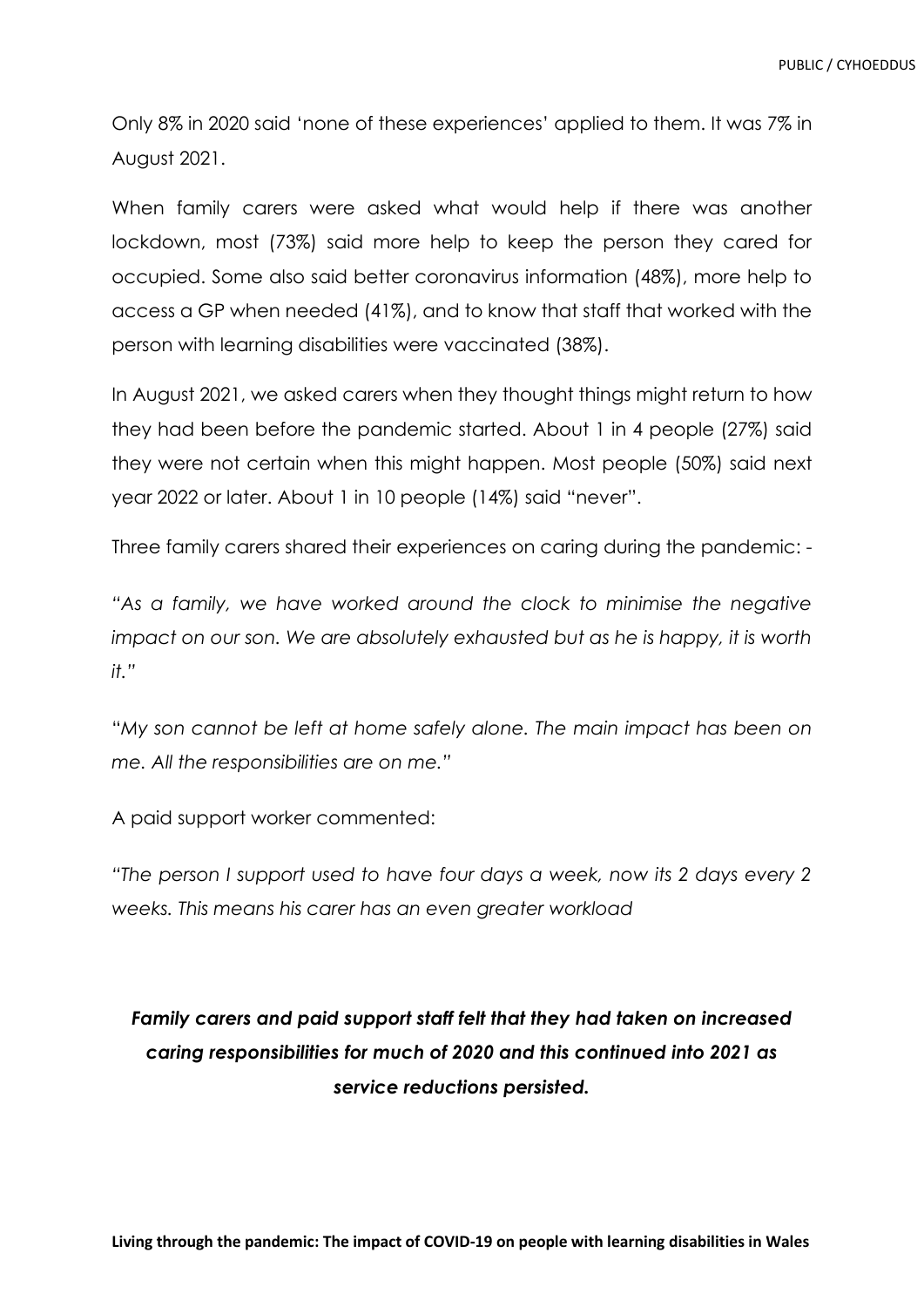Only 8% in 2020 said 'none of these experiences' applied to them. It was 7% in August 2021.

When family carers were asked what would help if there was another lockdown, most (73%) said more help to keep the person they cared for occupied. Some also said better coronavirus information (48%), more help to access a GP when needed (41%), and to know that staff that worked with the person with learning disabilities were vaccinated (38%).

In August 2021, we asked carers when they thought things might return to how they had been before the pandemic started. About 1 in 4 people (27%) said they were not certain when this might happen. Most people (50%) said next year 2022 or later. About 1 in 10 people (14%) said "never".

Three family carers shared their experiences on caring during the pandemic: -

*"As a family, we have worked around the clock to minimise the negative impact on our son. We are absolutely exhausted but as he is happy, it is worth it."*

"*My son cannot be left at home safely alone. The main impact has been on me. All the responsibilities are on me."*

A paid support worker commented:

*"The person I support used to have four days a week, now its 2 days every 2 weeks. This means his carer has an even greater workload*

# *Family carers and paid support staff felt that they had taken on increased caring responsibilities for much of 2020 and this continued into 2021 as service reductions persisted.*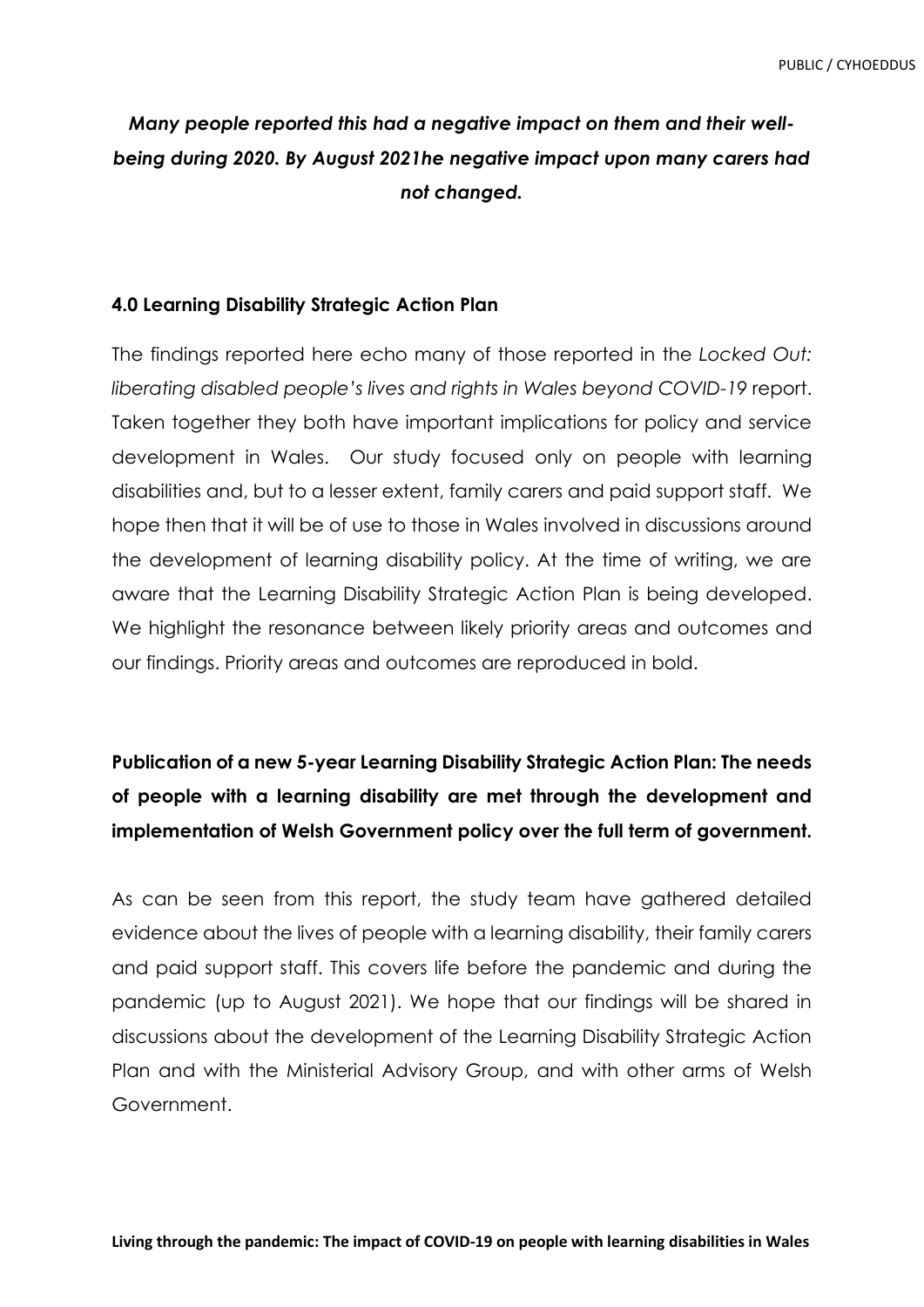## *Many people reported this had a negative impact on them and their wellbeing during 2020. By August 2021he negative impact upon many carers had not changed.*

### **4.0 Learning Disability Strategic Action Plan**

The findings reported here echo many of those reported in the *Locked Out: liberating disabled people's lives and rights in Wales beyond COVID-19* report. Taken together they both have important implications for policy and service development in Wales. Our study focused only on people with learning disabilities and, but to a lesser extent, family carers and paid support staff. We hope then that it will be of use to those in Wales involved in discussions around the development of learning disability policy. At the time of writing, we are aware that the Learning Disability Strategic Action Plan is being developed. We highlight the resonance between likely priority areas and outcomes and our findings. Priority areas and outcomes are reproduced in bold.

# **Publication of a new 5-year Learning Disability Strategic Action Plan: The needs of people with a learning disability are met through the development and implementation of Welsh Government policy over the full term of government.**

As can be seen from this report, the study team have gathered detailed evidence about the lives of people with a learning disability, their family carers and paid support staff. This covers life before the pandemic and during the pandemic (up to August 2021). We hope that our findings will be shared in discussions about the development of the Learning Disability Strategic Action Plan and with the Ministerial Advisory Group, and with other arms of Welsh Government.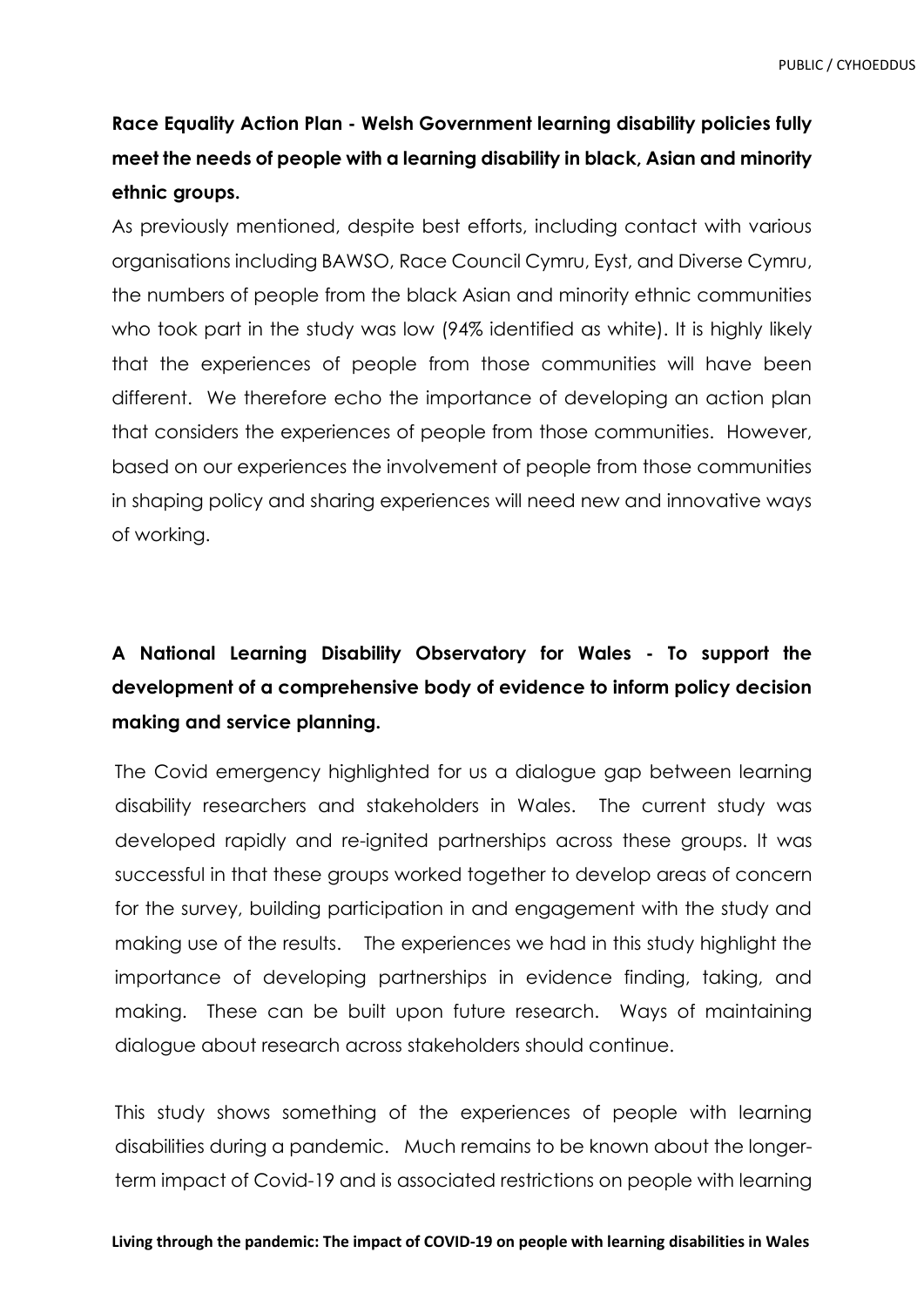# **Race Equality Action Plan - Welsh Government learning disability policies fully meet the needs of people with a learning disability in black, Asian and minority ethnic groups.**

As previously mentioned, despite best efforts, including contact with various organisations including BAWSO, Race Council Cymru, Eyst, and Diverse Cymru, the numbers of people from the black Asian and minority ethnic communities who took part in the study was low (94% identified as white). It is highly likely that the experiences of people from those communities will have been different. We therefore echo the importance of developing an action plan that considers the experiences of people from those communities. However, based on our experiences the involvement of people from those communities in shaping policy and sharing experiences will need new and innovative ways of working.

# **A National Learning Disability Observatory for Wales - To support the development of a comprehensive body of evidence to inform policy decision making and service planning.**

The Covid emergency highlighted for us a dialogue gap between learning disability researchers and stakeholders in Wales. The current study was developed rapidly and re-ignited partnerships across these groups. It was successful in that these groups worked together to develop areas of concern for the survey, building participation in and engagement with the study and making use of the results. The experiences we had in this study highlight the importance of developing partnerships in evidence finding, taking, and making. These can be built upon future research. Ways of maintaining dialogue about research across stakeholders should continue.

This study shows something of the experiences of people with learning disabilities during a pandemic. Much remains to be known about the longerterm impact of Covid-19 and is associated restrictions on people with learning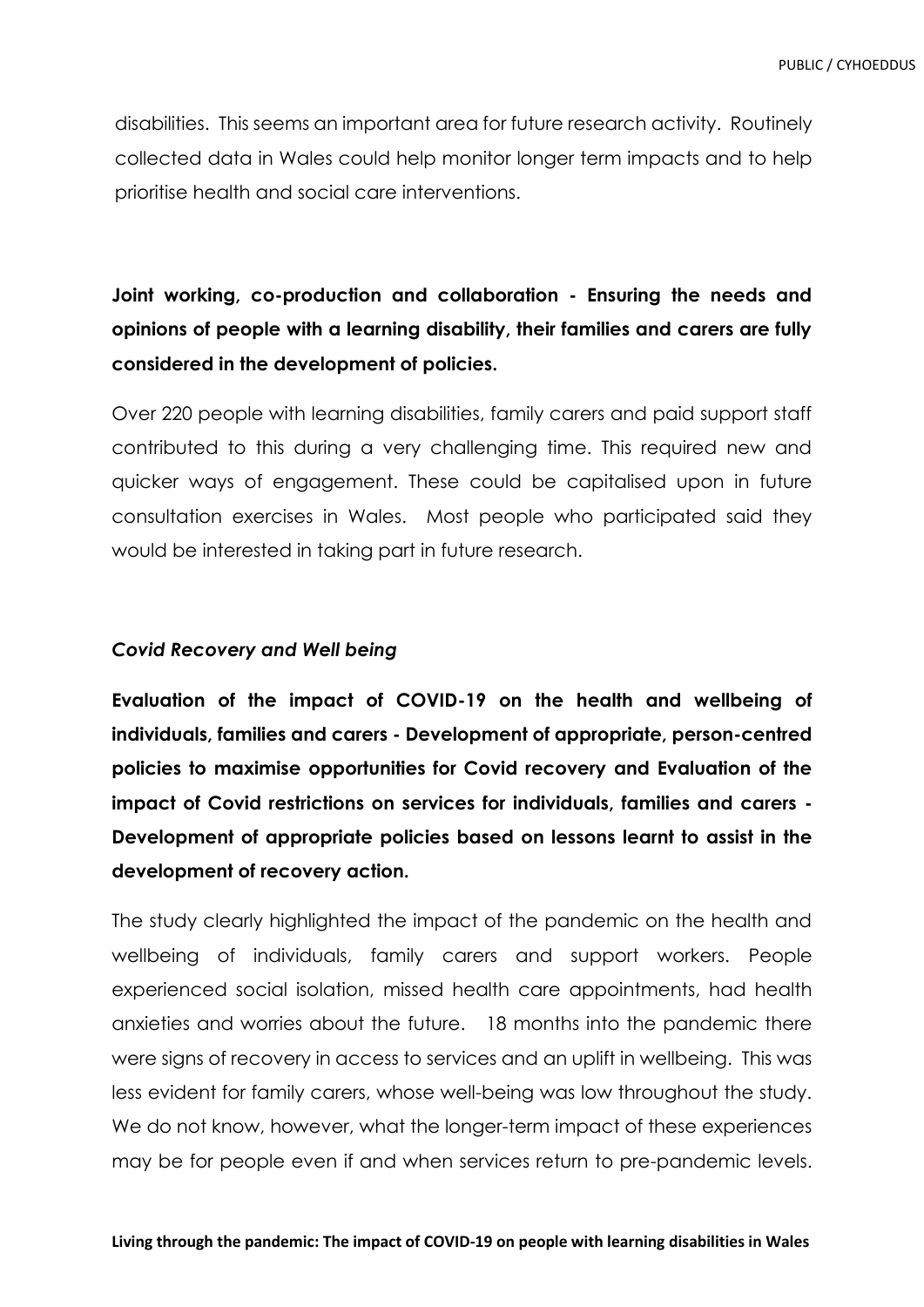disabilities. This seems an important area for future research activity. Routinely collected data in Wales could help monitor longer term impacts and to help prioritise health and social care interventions.

# **Joint working, co-production and collaboration - Ensuring the needs and opinions of people with a learning disability, their families and carers are fully considered in the development of policies.**

Over 220 people with learning disabilities, family carers and paid support staff contributed to this during a very challenging time. This required new and quicker ways of engagement. These could be capitalised upon in future consultation exercises in Wales. Most people who participated said they would be interested in taking part in future research.

### *Covid Recovery and Well being*

**Evaluation of the impact of COVID-19 on the health and wellbeing of individuals, families and carers - Development of appropriate, person-centred policies to maximise opportunities for Covid recovery and Evaluation of the impact of Covid restrictions on services for individuals, families and carers - Development of appropriate policies based on lessons learnt to assist in the development of recovery action.**

The study clearly highlighted the impact of the pandemic on the health and wellbeing of individuals, family carers and support workers. People experienced social isolation, missed health care appointments, had health anxieties and worries about the future. 18 months into the pandemic there were signs of recovery in access to services and an uplift in wellbeing. This was less evident for family carers, whose well-being was low throughout the study. We do not know, however, what the longer-term impact of these experiences may be for people even if and when services return to pre-pandemic levels.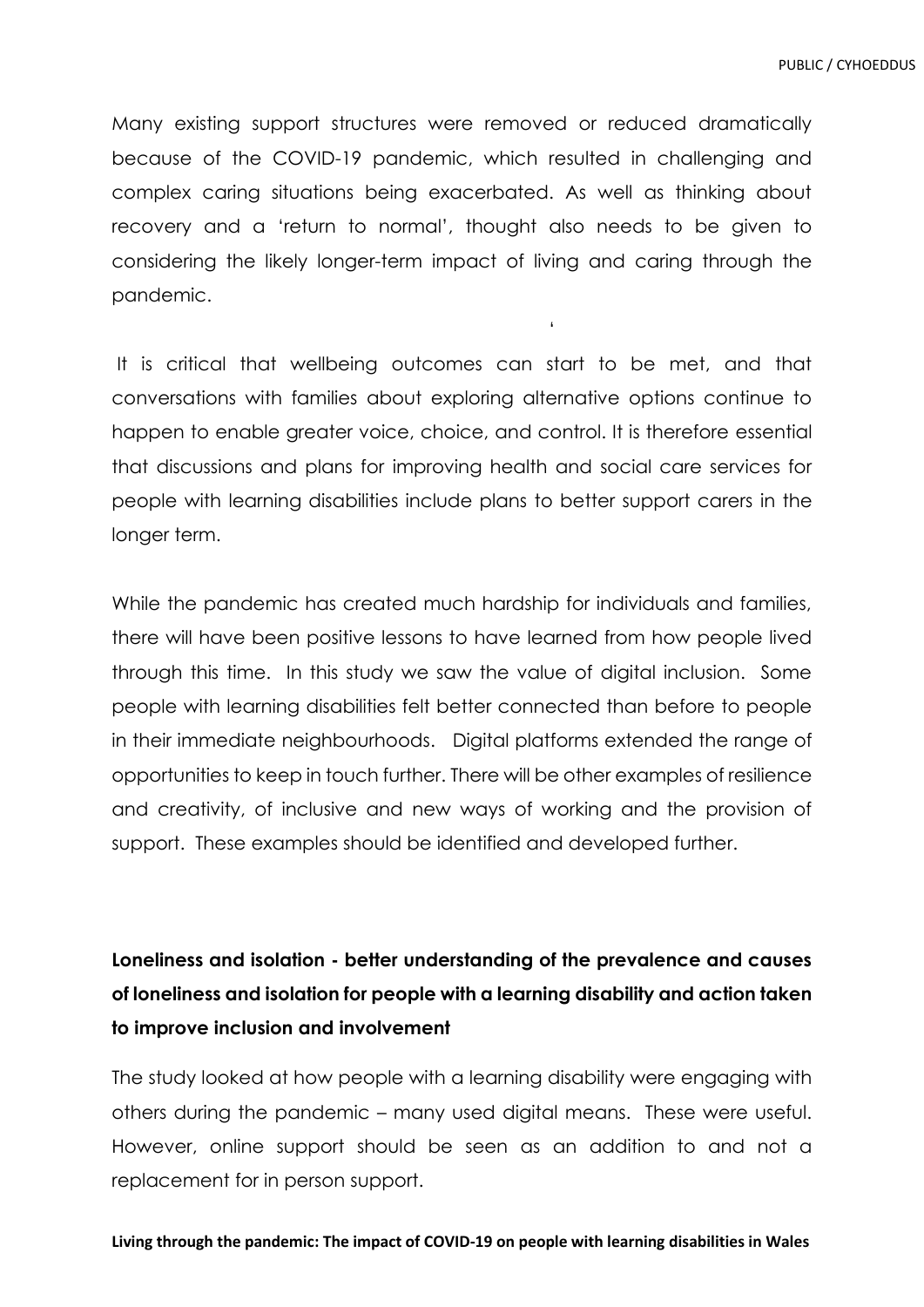Many existing support structures were removed or reduced dramatically because of the COVID-19 pandemic, which resulted in challenging and complex caring situations being exacerbated. As well as thinking about recovery and a 'return to normal', thought also needs to be given to considering the likely longer-term impact of living and caring through the pandemic.

'

It is critical that wellbeing outcomes can start to be met, and that conversations with families about exploring alternative options continue to happen to enable greater voice, choice, and control. It is therefore essential that discussions and plans for improving health and social care services for people with learning disabilities include plans to better support carers in the longer term.

While the pandemic has created much hardship for individuals and families, there will have been positive lessons to have learned from how people lived through this time. In this study we saw the value of digital inclusion. Some people with learning disabilities felt better connected than before to people in their immediate neighbourhoods. Digital platforms extended the range of opportunities to keep in touch further. There will be other examples of resilience and creativity, of inclusive and new ways of working and the provision of support. These examples should be identified and developed further.

# **Loneliness and isolation - better understanding of the prevalence and causes of loneliness and isolation for people with a learning disability and action taken to improve inclusion and involvement**

The study looked at how people with a learning disability were engaging with others during the pandemic – many used digital means. These were useful. However, online support should be seen as an addition to and not a replacement for in person support.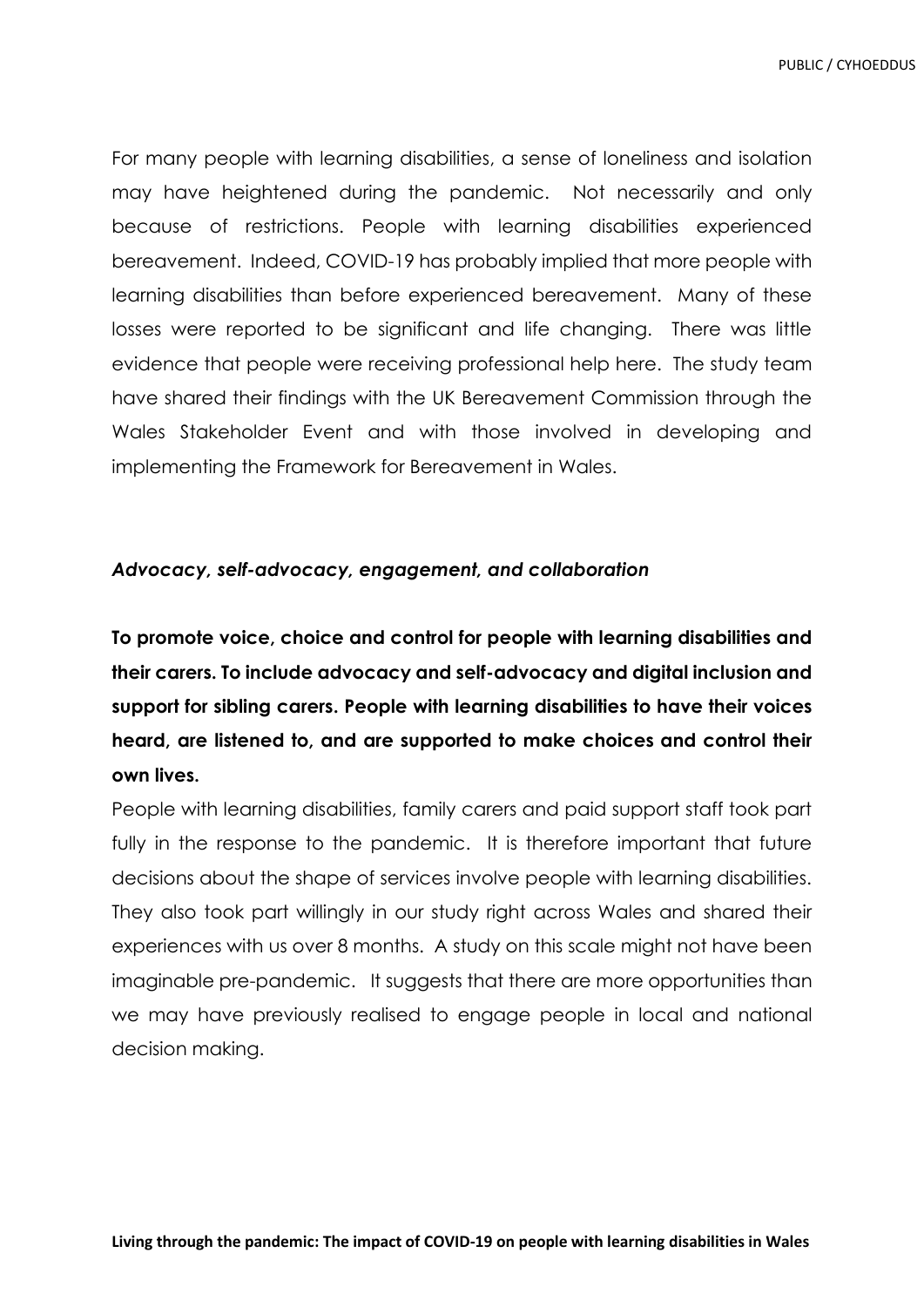For many people with learning disabilities, a sense of loneliness and isolation may have heightened during the pandemic. Not necessarily and only because of restrictions. People with learning disabilities experienced bereavement. Indeed, COVID-19 has probably implied that more people with learning disabilities than before experienced bereavement. Many of these losses were reported to be significant and life changing. There was little evidence that people were receiving professional help here. The study team have shared their findings with the UK Bereavement Commission through the Wales Stakeholder Event and with those involved in developing and implementing the Framework for Bereavement in Wales.

#### *Advocacy, self-advocacy, engagement, and collaboration*

**To promote voice, choice and control for people with learning disabilities and their carers. To include advocacy and self-advocacy and digital inclusion and support for sibling carers. People with learning disabilities to have their voices heard, are listened to, and are supported to make choices and control their own lives.**

People with learning disabilities, family carers and paid support staff took part fully in the response to the pandemic. It is therefore important that future decisions about the shape of services involve people with learning disabilities. They also took part willingly in our study right across Wales and shared their experiences with us over 8 months. A study on this scale might not have been imaginable pre-pandemic. It suggests that there are more opportunities than we may have previously realised to engage people in local and national decision making.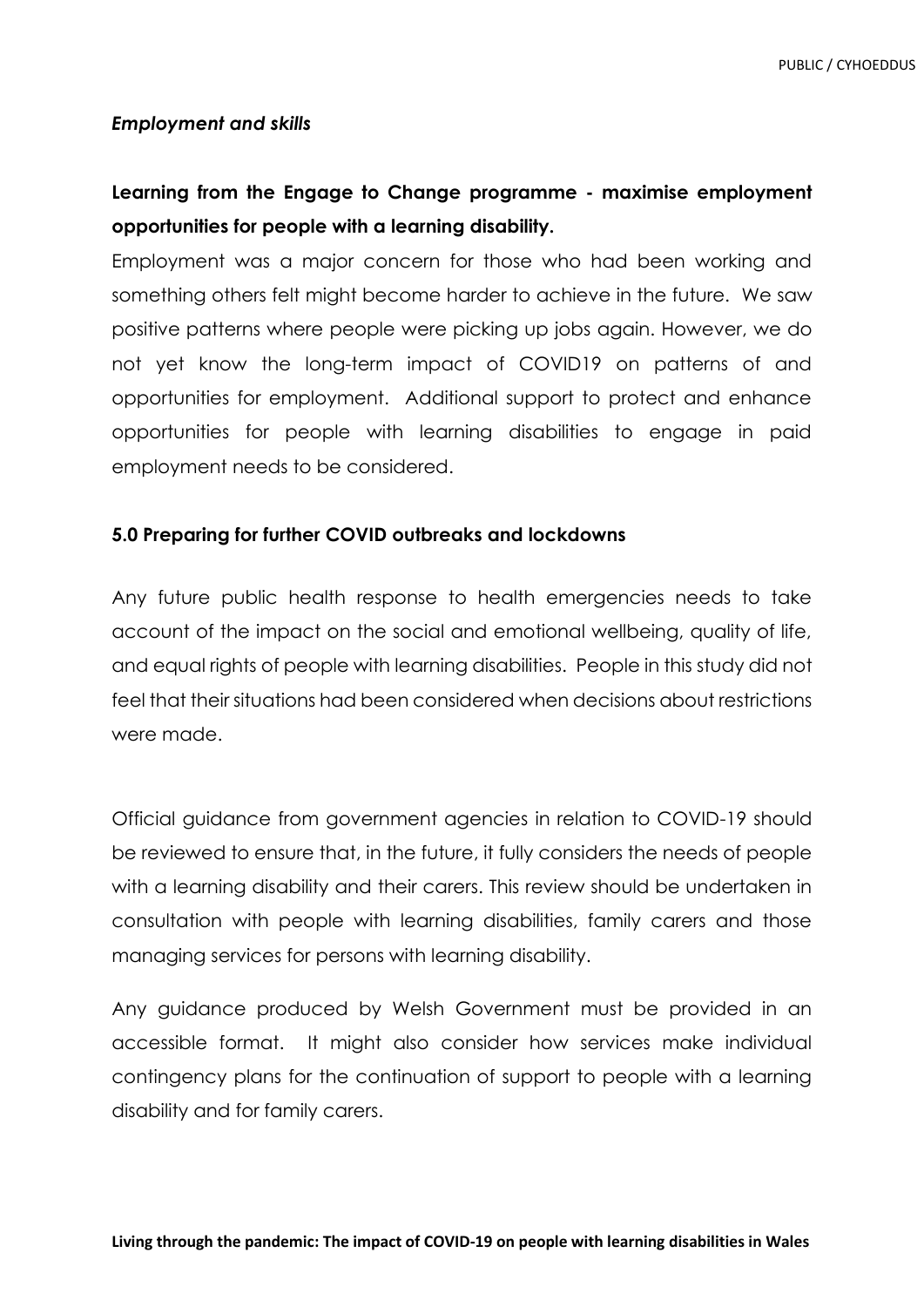#### *Employment and skills*

## **Learning from the Engage to Change programme - maximise employment opportunities for people with a learning disability.**

Employment was a major concern for those who had been working and something others felt might become harder to achieve in the future. We saw positive patterns where people were picking up jobs again. However, we do not yet know the long-term impact of COVID19 on patterns of and opportunities for employment. Additional support to protect and enhance opportunities for people with learning disabilities to engage in paid employment needs to be considered.

### **5.0 Preparing for further COVID outbreaks and lockdowns**

Any future public health response to health emergencies needs to take account of the impact on the social and emotional wellbeing, quality of life, and equal rights of people with learning disabilities. People in this study did not feel that their situations had been considered when decisions about restrictions were made.

Official guidance from government agencies in relation to COVID-19 should be reviewed to ensure that, in the future, it fully considers the needs of people with a learning disability and their carers. This review should be undertaken in consultation with people with learning disabilities, family carers and those managing services for persons with learning disability.

Any guidance produced by Welsh Government must be provided in an accessible format. It might also consider how services make individual contingency plans for the continuation of support to people with a learning disability and for family carers.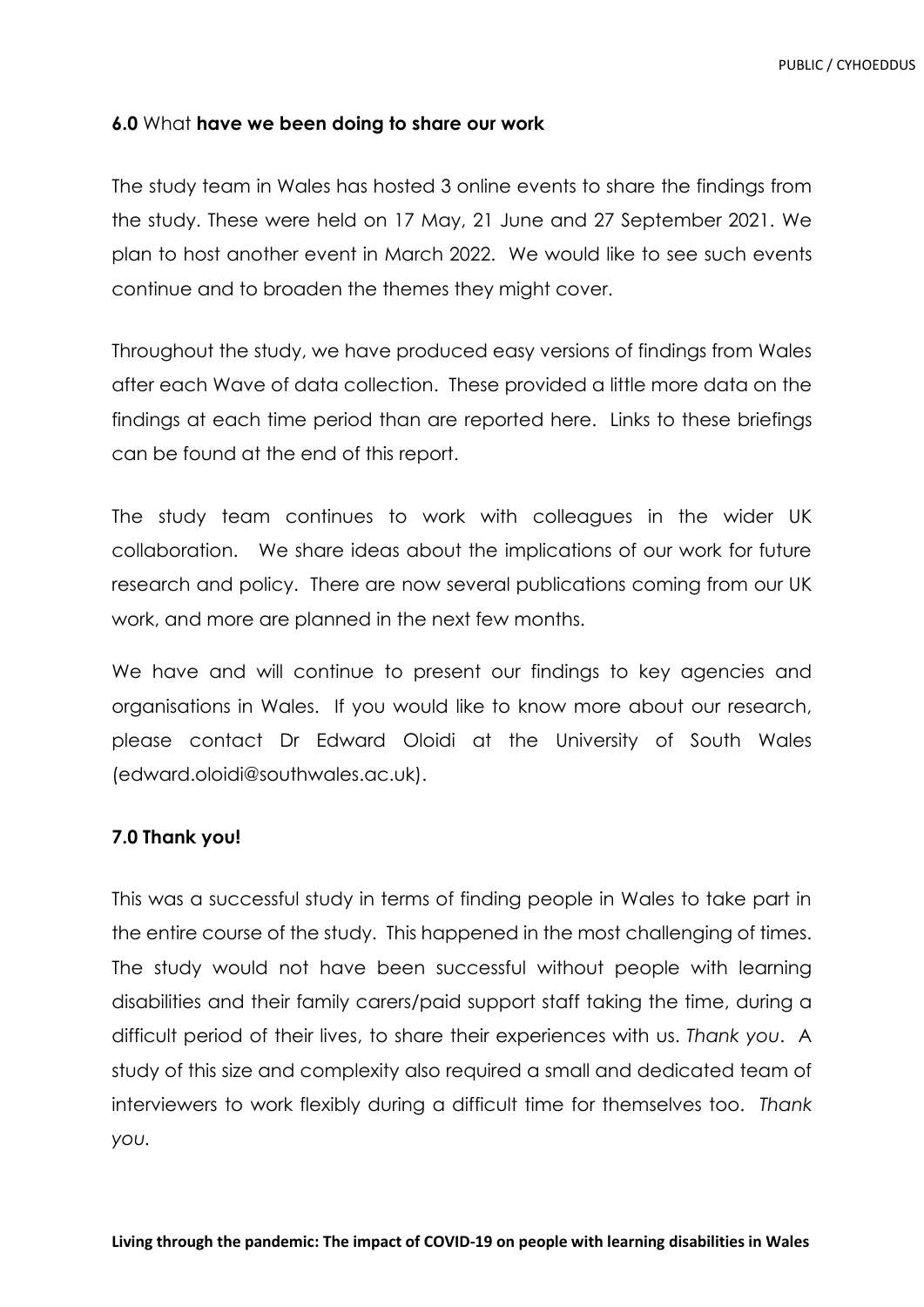### **6.0** What **have we been doing to share our work**

The study team in Wales has hosted 3 online events to share the findings from the study. These were held on 17 May, 21 June and 27 September 2021. We plan to host another event in March 2022. We would like to see such events continue and to broaden the themes they might cover.

Throughout the study, we have produced easy versions of findings from Wales after each Wave of data collection. These provided a little more data on the findings at each time period than are reported here. Links to these briefings can be found at the end of this report.

The study team continues to work with colleagues in the wider UK collaboration. We share ideas about the implications of our work for future research and policy. There are now several publications coming from our UK work, and more are planned in the next few months.

We have and will continue to present our findings to key agencies and organisations in Wales. If you would like to know more about our research, please contact Dr Edward Oloidi at the University of South Wales (edward.oloidi@southwales.ac.uk).

#### **7.0 Thank you!**

This was a successful study in terms of finding people in Wales to take part in the entire course of the study. This happened in the most challenging of times. The study would not have been successful without people with learning disabilities and their family carers/paid support staff taking the time, during a difficult period of their lives, to share their experiences with us. *Thank you*. A study of this size and complexity also required a small and dedicated team of interviewers to work flexibly during a difficult time for themselves too. *Thank you.*